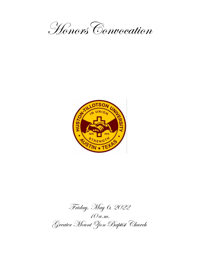



Friday, May 6, 2022 10 a.m. Greater Mount Zion Baptist Church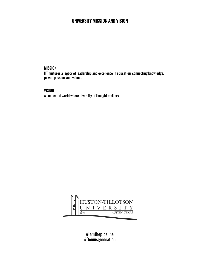## **UNIVERSITY MISSION AND VISION**

#### **MISSION**

HT nurtures a legacy of leadership and excellence in education, connecting knowledge, power, passion, and values.

#### **VISION**

A connected world where diversity of thought matters.



#Iamthepipeline #Geniusgeneration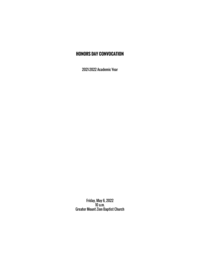## **HONORS DAY CONVOCATION**

2021-2022 Academic Year

Friday, May 6, 2022 10 a.m. Greater Mount Zion Baptist Church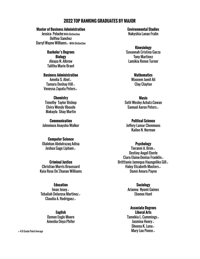## **2022 TOP RANKING GRADUATES BY MAJOR**

#### **Master of Business Administration**

Jessica Pelache With Distinction Delfino Sanchez Darryl Wayne Williams  $\checkmark$  With Distinction

> **Bachelor's Degrees Biology** Aleaya N. Albrow Talitha Marie Brant

**Business Administration** Amelia S. Abel $\sim$ Tamara Deshay Hill $\backsim$ Venessa Zapata Peters

**Chemistry** Timothy Taylor Bishop Elvira Wendy Ilboudo Makayla Shay Martin

**Communication** Johnniece Anaysha Walker

**Computer Science** Olalekan Abdulrazaq Adisa Joshua Gage Lipham<sub>v</sub>

**Criminal Justice** Christian Morris Broussard Kaia Rose De'Zhanae Williams

#### **Education**

Iman Josev Tebaliah Delarosa Martinez Claudia A. Rodriguez $\overline{\phantom{a}}$ 

> **English** Dymon Engle Moore Amesha Onya Phifer

**Environmental Studies** Nakyshia Lanae Fralin

**Kinesiology** Savannah Cristina Garza Tony Martinez Lamikia Renee Turner

> **Mathematics** Waseem Jamil Ali Clay Clayton

**Music** Seth Wesley Achatz-Cowan Samuel Aaron Peters

**Political Science** Jeffery Lamar Clemmons Kailee N. Norman

#### **Psychology**

Tieranni A. Brim $\sim$ Destiny Angel Eberle Ciara Elaine-Denise Franklin  $\overline{\phantom{a}}$ Britttanie Jamequa Haungelika Gill $\checkmark$ Haley Elizabeth Masters. Danni Amara Payne

> **Sociology** Arianna Nyomi Gaines Ebonee Hunt

**Associate Degrees Liberal Arts** Tamekia L. Cummings  $\overline{\phantom{a}}$ Jasmina Henry $\overline{\phantom{a}}$ Sheena K. Luna $\overline{ }$ and Grade Point Average Mary Lou Ponce  $\sim$  4.0 Grade Point Average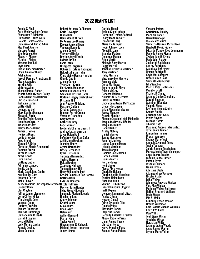#### **2022 DEAN'S LIST**

Amelia S. Abel Seth Wesley Achatz-Cowan Ebunoluwa B Adebesin Oluwaseun E Adediwura Bolanle Ramota Adisa Olalekan Abdulrazaq Adisa Mya Pearl Aguirre Giusepe Aguzzi Ebento Jojoe Akoi Aleaya N. Albrow Elizabeth Alejos Waseem Jamil Ali Jayla Allen Jordan Anderson-Cortez Ckyra Amari Anthony Adella Arias Joseph Bernard Armstrong, II Alexis Augustus Yuridia Avila Victoria Aviles Michael Ismail Bahar Assata ShakurSiwatu Bailey Sophia Gabriella Baltierra Christia Barefield Tishauna Barnes Brittny Bell Demontrey Bell Mary Benitez-Malagon Shawnda Birch Timothy Taylor Bishop Juan Bocanegra, Jr. Aidar Bodoshev Talitha Marie Brant Amber Brawley Holliecia Brent Leslie Brewster Anya Bright Tieranni A. Brim Christian Morris Broussard Ramona Brown Yazmine Brown Zavya Brown Erica Bunton Brittany Butler Adrianna Campos Benito Cantu Maria Guadalupe Cantu Kasshundra Carr Jonathan Carter Malik Chavez Kelise Monique Christopher-Paterson Gregory Clark Clay Clayton Jeffrey Lamar Clemmons Corin Clifton-Miller A'ja Michelle Cole Vanessa Copp Gustavo Crowder Tamara Culberson Tamekia Cummings Oluwapelumi M. Dada Salsabil Daghmi Donald Dallas Lesly Merary Davila Pamela Dealing Vince Delgado

Robert Anthony DeShannon, II Karla DeVooght Diana Diaz Demi Monet' Dickey McKenzie Lee Dimery Raegyn Amaya Dixon Vanessa Donnelly Angela Dowell Vacynuval Drake Destiny Angel Eberle LaTorie Erskin Laela Estus Bridgette Ferguson Bolivar B. Fortuna Rodriguez Nakyshia Lanae Fralin Ciara Elaine-Denise Franklin Glenda Gadlin Angela Garcia Tyler Scott Garcia Flor Garcia-Melendez Camiah Dashae Garvin Savannah Cristina Garza Goitom Tseggay Ghebrehiwot Brittanie Gill John Andrew Gilleland **Matthew Golden** Cristina Gorostieta Denisse Astrid Gracia Veronica Granados Gary Graves Katherine Gray Leticia Green Frederick Charles Guess, II Andrew Logan Guzman Javan Quion Hall LeAndrew Hamilton-Cofer Ashli Mone Hawkins Jasmina Henry Alyssa Hernandez Casey Hernandez Lydia Hernandez Turquoya Hernandez Thelma Herrera Dakia Hewing Stephany Hidrogo Tamara Deshay Hill Harry William Holland Kasani Demeik-Ja'Rae Horace Cattina Horn LaTasha Houston Nicole Huffman Dayvion Tariq Hunter Elvira Wendy Ilboudo Emanuela Marion Ilboudo Niesha Jenkins Cheryl Johnson Kristal Joiner Kiska Jones Iman Josey Helen July Ashley Kennard Mariah King Taylor Knight Oluwanifemi G. Kolawole Michael Jerone Lamerson James Limon

Darlicia Lincoln Joshua Gage Lipham Catherine Lizcano-Bedford Ebony Mona Lockett Qwaneisha Long Maria Paula Lopez Robin Johnson Luck Abigail L. Luna Brandon Madyun Donnique Manual Brian Martin Makayla Shay Martin Peggy Martin Tebaliah Delarosa Martinez Tony Martinez Haley Masters Sheamese Lea Masters Jasmine Mata Corey Matthews Jamere Janelle Mays Felicia McCray Rebecca McDaniel Nicholas W. McDermott LaCresha McGill Geovaron Antwoin McPhatter Gregory McQueen Brian Alexander Medina Jose A. Mendez Frankie Mendez Phoenix Caroline Leigh Michaelis Jacqueline Rose Millender Jacqueline Miller Raquel Miller Ashley Mobley Daniel Monroe Tomas Montanez Jennifer Montoya Lauryn Simone Moore Letesia Moreland Tracie Morgan Danielle Rae Morman Darnell Morris Dianna Morris Kortney Moss Roni Munoz Alyssa Abra Nelson Charlotte Nelson Charles Austin Nicholson Ashtien Nolan-Lowe Shanikka Nunn Yvonne O. Obukehwo Isaac Chinedum Okigweh Faith Okpara Domonic Emmanuel Olivas Ashley Oltman Nevaeh O'neal Adrey Ozbando Otto Dionne Paine Alexandra Parker LaQuisha Parker Serenity Kalei-Rose Parker Miguel Rodolfo Parra Danni Amara Payne Christian Perez Kaiya Symoine Perry Samuel Aaron Peters

Venessa Peters Christian C. Pinkley MaryLou Ponce Darrell Randolph Jeala Maresa Rice Sametria Desiree' Richardson Elizabeth Monic Ridley Eduardo Manuel Rios-Dominguez Danielle Renee Rivera Skylour Monik Rivers David John Rjasko Zechariah Robichaux Audrey Rodriguez Claudia A. Rodriguez Jimena Rodriguez Kayla Marie Rogers Grace Lauren Ross Samantha Ruiz-Gross Lilia Sanchez Marcus Pete Santillanes Camille Scott Charles R. Shead Jasmine Denise Shephard Gerald Shoetan JoAmber Sifuentes Yolanda Sloss Bre'auna Necole Smith Shante Smith Adrianna Smithwick Evelyn Snyder LaTanya Sotelo Tiburcio Soto Maximino Andres Talamantez Tyra Lenora Tanner Kimberlyn Thomas Breya Thompson Cydney Marie Tobin Aminah Savannah Toles <u>I</u>ugba Iopkara Zahria Simone Touchstone Mario Alberto Tovar Velasquez Angel Lacara Traylor Lamikia Renee Turner Pamela Tyree Joshua O. Umoru Isaura Urena Adesuwa Usoh Adam Andrew Vasquez Nicolas Viader Erika Walker Johnniece Anaysha Walker Vera-Mae Walker Madelyn Walker Patterson Nathan Bradford Wallace David Welch Mia S. Wells Kimberly Renee Whalon Brooke Wilkerson Kaia RoseDe'Zhanae Williams Kenzi J Williams Cori Willis Teah Liana Wilson Teneisha Wilson Horachael Wiltz Jasmine LeAnn Woods Aisha Renee Wooten Jaymee Marie Yelton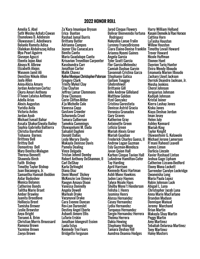#### **2022 HONOR ROLL**

Amelia S. Abel Seth Wesley Achatz-Cowan Ebunoluwa B. Adebesin Oluwaseun E. Adediwura Bolanle Ramota Adisa Olalekan Abdulrazaq Adisa Mya Pearl Aguirre Giusepe Aguzzi Ebento Jojoe Akoi Aleaya N. Albrow Elizabeth Alejos Waseem Jamil Ali Denstiny Nikole Allen Jayla Allen Anna-Alicia Amaro Jordan Anderson-Cortez Ckyra Amari Anthony D'Ivaon Lataisa Anthony Adella Arias Alexis Augustus Yuridia Avila Victoria Aviles Jordan Ayub Michael Ismail Bahar Assata ShakurSiwatu Bailey Sophia Gabriella Baltierra Christia Barefield Tishauna Barnes Brittney Bell Brittny Bell Demontrey Bell Mary Benitez-Malagon Theresa Bennett Shawnda Birch Faith Bishop Timothy Taylor Bishop Juan Bocanegra, Jr. Samantha Hannah Bodden Aidar Bodoshev Monica Bolanos Catherine Bonds Talitha Marie Brant Amber Brawley Juanita Breedlove Holliecia Brent Tamisha Brewer Leslie Brewster Anya Bright Tieranni A. Brim Christian Morris Broussard Ramona Brown Yazmine Brown Zavya Brown

Za'Kara Imunique Bryson Erica Bunton Rashad Jamal Burris Brittany Butler Adrianna Campos Jeyner Eliu CanacaLara Benito Cantu Maria Guadalupe Cantu Krisavion Trevellion Carpenter Kasshundra Carr Jonathan Carter Malik Chavez Kelise Monique Christopher-Paterson Stephanie Gatica Gregory Clark Trinity Mykel Clay Clay Clayton Jeffrey Lamar Clemmons Drew Clemons Corin Clifton-Miller A'ja Michelle Cole Vanessa Copp Gustavo Crowder Schuronda Cruel Tamara Culberson Tamekia Cummings Oluwapelumi M. Dada Salsabil Daghmi Donald Dallas Lesly Merary Davila Makayla Denisse Davis Pamela Dealing Vince Delgado Tristan Jehmil Demby Robert Anthony DeShannon, II Carl DeShay Karla DeVooght Diana Diaz Demi Monet' Dickey McKenzie Lee Dimery Raegyn Amaya Dixon Vanessa Donnelly Angela Dowell Marleah Drake Vacynuval Drake Cara Evonne Duncan Rev-Lon Duronslet Destiny Angel Eberle Ashanti Amore Ellis LaTorie Erskin Jonathan Idongesit Essien Laela Estus Kennedy Troi Fears Bridgette Ferguson

Jarod Cinque Flowers Rodriguez Nakyshia Lanae Fralin Lurenny FrancoBriceno Ciara Elaine-Denise Franklin Timothy Levail Howard Arianna Nyomi Gaines Angela Garcia Tyler Scott Garcia Flor Garcia-Melendez Camiah Dashae Garvin Savannah Cristina Garza Goitom Tseggay **Ghebrehiwot** Brittanie Gill John Andrew Gilleland Matthew Golden Itzel Gonzalez Cristina Gorostieta Denisse Astrid Gracia Veronica Granados Gary Graves Katherine Gray Antoinette Green Leticia Green Mariah Alexis Greer Mariah Guadian Frederick Charles Guess, II Andrew Logan Guzman Esly Guzman-Mendoza Javan Quion Hall Karhon Cinque Tavion Hall LeAndrew Hamilton-Cofer Tay Harding April Harrison Kennedy Kiasi Hartman Ashli Mone Hawkins Jaden Lacy Haynes Talyce Nicole Hays Shelby Mone't Henderson Felisha J. Henry Jasmina Henry Alyssa Hernandez Casey Hernandez Lydia Hernandez Turquoya Hernandez Sergio Hernandez Herrera Thelma Herrera Dakia Hewing Stephany Hidrogo Tamara Deshay Hill Aundrea Deanna Hodges

Bolivar Bienvenido Fortuna Kasani Demeik-Ja'Rae Horace Harry William Holland Cattina Horn LaTasha Houston Willow Houston Trevor Howard Nicole Huffman Ebonee Hunt Dayvion Tariq Hunter Elvira Wendy Ilboudo Emanuela Marion Ilboudo Zachary Lloyd Jackson Derrick Deandre Jackson, Jr. Niesha Jenkins Cheryl Johnson Jerquarius Johnson Kadijah Johnson Kristal Joiner Kierra Lashay Jones Kiska Jones Kiaya Deshae Jordan Iman Josey Helen July Ashley Kennard Mariah King Taylor Knight Oluwanifemi G. Kolawole Michael Jerone Lamerson R'mani Raheed Leavell James Limon Darlicia Lincoln Xavier Rashaud Linton Joshua Gage Lipham Catherine Lizcano-Bedford Ebony Mona Lockett Surrender Carolyn Lockridge Qwaneisha Long Maria Paula Lopez Robin Johnson Luck Abigail L. Luna Christopher Jacob Luna Anna Marie MacFarlane Brandon Madyun Donnique Manual Jeremy Marchand Brian Martin Makayla Shay Martin Peggy Martin Amy Martinez Tebaliah Delarosa Martinez Tony Martinez Haley Masters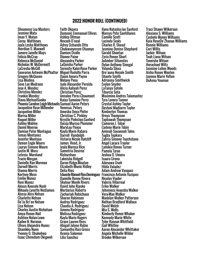## **2022 HONOR ROLL (CONTINUED)**

Sheamese Lea Masters Jasmine Mata Iman Y. Matan Corey Matthews Jayla Lesha Matthews Jhordian S. Maxwell Jamere Janelle Mays Felicia McCray Rebecca McDaniel Nicholas W. McDermott LaCresha McGill Geovaron Antwoin McPhatter Miguel Rodolfo Parra Gregory McQueen Lisa Medina Seve Lee Medrano Jose A. Mendez Christina Mendez Frankie Mendez Diana MichaelSonko Phoenix Caroline Leigh Michaelis Samuel Aaron Peters Jacqueline Rose Millender Jacqueline Miller Marisa Miller Raquel Miller Ashley Mobley Daniel Monroe Damian Peter Montague Tomas Montanez Jennifer Montoya Dymon Engle Moore Lauryn Simone Moore Justin M. Mora Letesia Moreland Tracie Morgan Danielle Rae Morman Darnell Morris Dianna Morris Kortney Moss Emilio Munoz Roni Munoz Alexus Knecole Nash Mikayla Lynette NedJames Alyssa Abra Nelson Charlotte Nelson De'Ja Bri'on Nelson Lisa Nelson Charles Austin Nicholson Amya Renee Noil Ashtien Nolan-Lowe Kailee N. Norman Ulises Alejandro Nunez Shanikka Nunn Yvonne O. Obukehwo Isaac Chinedum Okigweh

Faith Okpara Domonic Emmanuel Olivas Ashley Oltman Nevaeh O'neal Adrey Ozbando Otto Chukwunyerem Otuonye Damien Ovalle Dionne Paine Alexandra Parker LaQuisha Parker Serenity Kalei-Rose Parker Danni Amara Payne Melany Pena Jude Alexander Pereida Alicia Aaliyah Perez Christian Perez Annalee Perez-Chaumont Kaiya Symoine Perry Venessa Peters Amesha Onya Phifer Christian C. Pinkley Krystle Pinkston-Sanford Daizja Marcya Plummer MaryLou Ponce Kayla Marie Rabara Darrell Randolph Victoria Nicole Ratcliff James Reed, Jr. Jeala Maresa Rice Sametria Desiree' Richardson Lakeisha Ridgell Duran Ridge-Mouton Elizabeth Monic Ridley Delia Rios Eduardo Manuel Rios-Dominguez Francisco Antonio Vazquez Danielle Renee Rivera Skylour Monik Rivers David John Rjasko Merdarius Roberts Zechariah Robichaux Sharon Robinson Audrey Rodriguez Claudia A. Rodriguez Jimena Rodriguez Melissa Rodriguez Kayla Marie Rogers Grace Lauren Ross Abigail Jolynn Rubio Samantha Ruiz-Gross Ilvania Salomon Lilia Sanchez

Ilana Natasha-Jae Sanford Marcus Pete Santillanes Camille Scott Lucinda Seals Charles R. Shead Jasmine Denise Shephard Gerald Shoetan Zyria Renee Short JoAmber Sifuentes Dylan Anthony Sinegal Yolanda Sloss Bre'auna Necole Smith Shante Smith Adrianna Smithwick Evelyn Snyder LaTanya Sotelo Tiburcio Soto Maximino Andres Talamantez Tyra Lenora Tanner Crystal Ashley Taylor Destoni Madiarre Taylor Kimberlyn Thomas Breya Thompson Taphawah Thompson Cameron J. Tobar Cydney Marie Tobin Aminah Savannah Toles Tugba Topkara Zahria Simone Touchstone Angel Lacara Traylor Lamikia Renee Turner Pamela Tyree Joshua O. Umoru Isaura Urena Adesuwa Usoh Hilda Valadez Adam Andrew Vasquez Nicolas Viader Valeria Villarreal Erika Walker Johnniece Anaysha Walker Vera-Mae Walker Madelyn Walker Patterson Nathan Bradford Wallace David Welch Mia S. Wells Kimberly Renee Whalon Kennedy Marie White Tyler Rasean Whitfield Gail Whitley Aaron Alexander Whittaker Angela Michelle Wilder Brooke Wilkerson

Traci Shawn Wilkerson Alexiana S. Williams Cashele Money Williams Kaia RoseDe'Zhanae Williams Ronnie Williams Cori Willis Jackie Wilson Teah Liana Wilson Teneisha Wilson Horachael Wiltz Jasmine LeAnn Woods Aisha Renee Wooten Jaymee Marie Yelton DeAnna Youman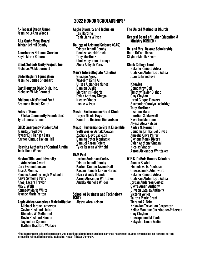#### **A+ Federal Credit Union** Jasmine LeAnn Woods

**A La Carte Menu Board** Tristan Jehmil Demby

#### **Americorps National Service** Kayla Marie Rabara

**Black Schools Unity Project, Inc.** Nicholas W. McDermott

#### **Dede McGuire Foundation** Jasmine Denise Shephard

**East Houston Civic Club, Inc.** Nicholas W. McDermott

#### **Eddleman-McFarland Fund** Bre'auna Necole Smith

#### **Folds of Honor (Tulsa Community Foundation)** Tyra Lenora Tanner

#### **GEER Emergency Student Aid** Juanita Breedlove Jeyner Eliu Canaca Lara Karhon Cinque Tavion Hall

#### **Housing Authority of Central Austin** Teah Liana Wilson

#### **Huston-Tillotson University Admission Award**

Cara Evonne Duncan Jose A. Mendez Phoenix Caroline Leigh Michaelis Kaiya Symoine Perry Angel Lacara Traylor Mia S. Wells Kennedy Marie White Jaymee Marie Yelton

#### **Apple African-American Male Initiative**

Michael Jerone Lamerson Xavier Rashaud Linton Nicholas W. McDermott Devin Rashaud Pineda Jaylen Lee Spence Nathan Bradford Wallace

**Apple Diversity and Inclusion** Tay Harding Teah Liana Wilson

#### **College of Arts and Science (CAS)** Tristan Jehmil Demby Denisse Astrid Gracia Tony Martinez Chukwunyerem Otuonye Alicia Aaliyah Perez

#### **Men's Intercollegiate Athletics**

Giusepe Aguzzi Waseem Jamil Ali Ulises Alejandro Nunez Damien Ovalle Merdarius Roberts Dylan Anthony Sinegal Nicolas Viader Jackie Wilson

#### **Music – Performance Grant Choir** Talyce Nicole Hays

Sametria Desiree' Richardson

#### **Music – Performance Grant Ensemble**

Seth Wesley Achatz-Cowan Zachary Lloyd Jackson Damian Peter Montague Samuel Aaron Peters Tyler Rasean Whitfield

### **RAM Pact**

Jordan Anderson-Cortez Tristan Jehmil Demby Karhon Cinque Tavion Hall Kasani Demeik Ja'Rae Horace Elvira Wendy Ilboudo Aaron Alexander Whittaker Angela Michelle Wilder

#### **School of Business and Technology (SBT)**

Alyssa Abra Nelson

### **The United Methodist Church**

**General Board of Higher Education & Ministry (GBHEM)**

**Dr. and Mrs. Davage Scholarship** De'Ja Bri'on Nelson Skylour Monik Rivers

#### **Black College Fund** Bolanle Ramota Adisa Olalekan Abdulrazaq Adisa Juanita Breedlove

#### **Knowles**

Demontrey Bell Timothy Taylor Bishop Clay Clayton Jarod Cinque Flowers Surrender Carolyn Lockridge Tony Martinez Jasmine Mata Jhordian S. Maxwell Seve Lee Medrano Alyssa Abra Nelson Kailee N. Norman Domonic Emmanuel Olivas Amesha Onya Phifer Skylour Monik Rivers Dylan Anthony Sinegal Nicolas Viader Aaron Alexander Whittaker

#### **W.E.B. DuBois Honors Scholars**

Amelia S. Abel Ebunoluwa B. Adebesin Oluwaseun E. Adediwura Bolanle Ramota Adisa Olalekan Abdulrazaq Adisa Jordan Anderson-Cortez Ckyra Amari Anthony D'Ivaon Lataisa Anthony Victoria Aviles Talitha Marie Brant Tieranni A. Brim Krisavion Trevellion Carpenter Kelise Monique Christopher-Paterson Clay Clayton Oluwapelumi M. Dada Nakyshia Lanae Fralin

\*This list represents scholarship recipients who meet the academic honors grade point average requirement of 3.0 or higher; it does not represent nor is it intended to reflect all scholarships available at Huston-Tillotson University.

## **2022 HONOR SCHOLARSHIPS\***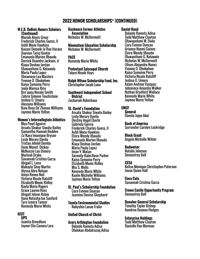## **2022 HONOR SCHOLARSHIPS\* (CONTINUED)**

#### **W.E.B. DuBois Honors Scholars (Continued)**

Mariah Alexis Greer Frederick Charles Guess, II Ashli Mone Hawkins Kasani Demeik Ja'Rae Horace Dayvion Tariq Hunter Emanuela Marion Ilboudo Derrick Deandre Jackson, Jr Kiaya Deshae Jordan Oluwanifemi G. Kolawole Maria Paula Lopez Sheamese Lea Masters Yvonne O. Obukehwo Kaiya Symoine Perry Jeala Maresa Rice Bre'auna Necole Smith Zahria Simone Touchstone Joshua O. Umoru Alexiana Williams Kaia Rose De'Zhanae Williams Jaymee Marie Yelton

#### **Women's Intercollegiate Athletics**

Mya Pearl Aguirre Assata Shakur Siwatu Bailey Samantha Hannah Bodden Za'Kara Imunique Bryson Lesly Merary Davila Tristan Jehmil Demby Demi Monet' Dickey McKenzie Lee Dimery Marleah Drake Savannah Cristina Garza Abigail L. Luna Makayla Shay Martin Alyssa Abra Nelson Amya Renee Noil Victoria Nicole Ratcliff Elizabeth Monic Ridley Kayla Marie Rogers Grace Lauren Ross Abigail Jolynn Rubio Ilana Natasha-Jae Sanford Tyra Lenora Tanner Kennedy Marie White

#### **ICUT**

**UPS** Juanita Breedlove Jeyner Eliu Canaca Lara

**Kashmere Former Athletes Association** Nicholas W. McDermott

**Momentum Education Scholarship** Nicholas W. McDermott

#### **PACE** Kennedy Marie White

**Protestant Episcopal Church** Talyce Nicole Hays

**Ralph Wilson Scholarship Fund, Inc.** Christopher Jacob Luna

**Southwest Independent School District** Zechariah Robichaux

#### **St. David's Foundation**

Assata Shakur Siwatu Bailey Lesly Merary Davila Destiny Angel Eberle Gabriela Garcia Frederick Charles Guess, II Ashli Mone Hawkins Elvira Wendy Ilboudo Emanuela Marion Ilboudo Kiaya Deshae Jordan Maria Paula Lopez Iman Y. Matan Serenity Kalei-Rose Parker Kaiya Symoine Perry Elizabeth Monic Ridley Mia S. Wells Kennedy Marie White Kaylin Michelle Williams Jaymee Marie Yelton

**St. Paul's Scholarship Foundation** Cara Evonne Duncan Jasmine Denise Shephard

**Toyota Environmental Studies** Nakyshia Lanae Fralin

#### **United Church of Christ**

**Avery Arthington Foundation** Bolanle Ramota Adisa Olalekan Abdulrazaq Adisa

#### **Daniel Hand**

Bolanle Ramota Adisa Todd Matthew Clayton Oluwapelumi M. Dada Cara Evonne Duncan Arianna Nyomi Gaines Elvira Wendy Ilboudo Oluwanifemi G. Kolawole Nicholas W. McDermott Ulises Alejandro Nunez Yvonne O. Obukehwo Kaiya Symoine Perry Victoria Nicole Ratcliff Joshua O. Umoru Adam Andrew Vasquez Johnniece Anaysha Walker Nathan Bradford Wallace Kennedy Marie White Jaymee Marie Yelton

## **UNCF**

**General**  Ebento Jojoe Akoi

**Bank of America** Surrender Carolyn Lockridge

**Block Grant** Angela Michelle Wilder

#### **Budweiser**

Natalie Johnson Demontrey Bell

#### **CESA**

Kelise Monique Christopher-Paterson Javan Quion Hall

**Coca Cola** Savannah Cristina Garza

**Crown Castle Opportunity Program** Demontrey Bell

**Danaher General Scholarship** Timothy Taylor Bishop Aundrea Deanna Hodges

#### **Enterprise Holdings**

Todd Matthew Clayton Danielle Rae Morman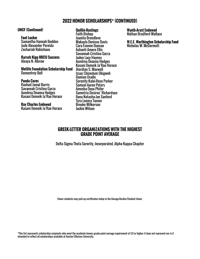## **2022 HONOR SCHOLARSHIPS\* (CONTINUED)**

#### **UNCF (Continued)**

#### **Foot Locker**

Samantha Hannah Bodden Jude Alexander Pereida Zechariah Robichaux

**Karsch Kipp HBCU Success** Aleaya N. Albrow

**Metlife Foundation Scholarship Fund** Demontrey Bell

#### **Panda Cares**

Rashad Jamal Burris Savannah Cristina Garza Aundrea Deanna Hodges Kasani Demeik Ja'Rae Horace

**Ray Charles Endowed** Kasani Demeik Ja'Rae Horace

#### **Quillin-Hastings**

Faith Bishop Juanita Breedlove Makayla Denisse Davis Cara Evonne Duncan Ashanti Amore Ellis Savannah Cristina Garza Jaden Lacy Haynes Aundrea Deanna Hodges Kasani Demeik Ja'Rae Horace Jhordian S. Maxwell Issac Chinedum Okigweh Damien Ovalle Serenity Kalei-Rose Parker Samuel Aaron Peters Amesha Onya Phifer Sametria Desiree' Richardson Ilana Natasha-Jae Sanford Tyra Lenora Tanner Brooke Wilkerson Jackie Wilson

**Wyeth-Aryst Endowed** Nathan Bradford Wallace

**W.E.E. Worthington Scholarship Fund** Nicholas W. McDermott

## **GREEK-LETTER ORGANIZATIONS WITH THE HIGHEST GRADE POINT AVERAGE**

Delta Sigma Theta Sorority, Incorporated, Alpha Kappa Chapter

Honor students may pick up certificates today in the Davage-Durden Student Union.

\*This list represents scholarship recipients who meet the academic honors grade point average requirement of 3.0 or higher; it does not represent nor is it intended to reflect all scholarships available at Huston-Tillotson University.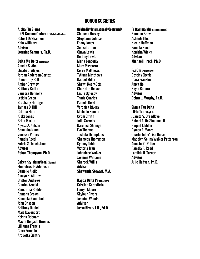## **HONOR SOCIETIES**

#### **Alpha Phi Sigma**

**(Pi Gamma Omicron) (Criminal Justice)** Robert DeShannon Kaia Williams **Advisor Lorraine Samuels, Ph.D.**

#### **Delta Mu Delta (Business)**

Amelia S. Abel Elizabeth Alejos Jordan Anderson-Cortez Demontrey Bell Amber Brawley Brittany Butler Vanessa Donnelly Leticia Green Stephany Hidrogo Tamara D. Hill Cattina Horn Kiska Jones Brian Martin Alyssa A. Nelson Shanikka Nunn Venessa Peters Pamela Reed Zahria S. Touchstone **Advisor Rohan Thompson, Ph.D.**

#### **Golden Key International (General)**

Ebunoluwa E. Adebesin Danielle Aiello Aleaya N. Albrow Britton Andrews Charles Arnold Samantha Bodden Ramona Brown Shemeka Campbell John Chacon Brittney Daniel Maia Davenport Keisha Debnam Mayra Delgado-Briones Lillianna Francis Ciara Franklin Arquetta Gentry

#### **Golden Key International (Continued)**

Shaneen Harvey Stephanie Johnson Ebony Jones Sonya Lathon Ojuwa Lewis Destiny Lewis Maria Longoria Marc Mascorro Corey Matthews Tytiana Matthews Raquel Miller Shawn Neely-Otts Charlotte Nelson Leslie Oglesby Tamia Quarles Pamela Reed Veronica Rivera Michelle Roman Cydni Smith Julia Sorrells Daronica Strange Eva Thomas Tashala Thompkins Shameca Thompson Cydney Tobin Victoria Tran Johnniece Walker Jasmine Williams Shareek Willis **Advisor Shawanda Stewart, M.A.**

#### **Kappa Delta Pi (Education)**

Cristina Corostieta Lauryn Moore Skylour Rivers Jasmine Woods **Advisor Jesse Rivers J.D., Ed.D.**

#### **Pi Gamma Mu (Social Sciences)** Ramona Brown Ashanti Ellis Nicole Huffman Pamela Reed Kenisha Wicks **Advisor Michael Hirsch, Ph.D.**

#### **Psi Chi (Psychology)** Destiny Eberle Ciara Franklin Amya Noil Kayla Rabara **Advisor**

#### **Debra L. Murphy, Ph.D.**

#### **Sigma Tau Delta**

 **(Eta Tau) (English)** Juanita S. Breedlove Robert A. De Shannon, II Raquel J. Miller Dymon E. Moore Charlotte De' Lisa Nelson Madelyn Selina Walker Patterson Amesha O. Phifer Pamela R. Reed Lamikia R. Turner **Advisor Julie Hudson, Ph.D.**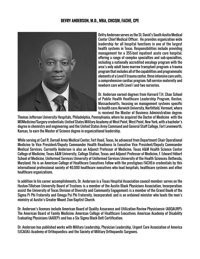## **DEVRY ANDERSON, M.D., MBA, CHCQM, FACHE, CPE**



DeVry Anderson serves as the St. David's South Austin Medical Center Chief Medical Officer. He provides organization wide leadership for all hospital functions in one of the largest health systems in Texas. Responsibilities include providing management for a 355-bed inpatient acute care hospital, offering a range of complex specialties and sub-specialties, including a nationally accredited oncology program with the area's only adult bone marrow transplant program; a trauma program that includes all of the capabilities and programmatic elements of a Level II trauma center, three intensive care units, a comprehensive cardiac program; full-service maternity and newborn care with Level I and two nurseries.

Dr. Anderson earned degrees from Harvard T.H. Chan School of Public Health Healthcare Leadership Program, Boston, Massachusetts, focusing on management systems specific to health care; Norwich University, Northfield, Vermont, where is received the Master of Business Administration degree;

Thomas Jefferson University Hospitals, Philadelphia, Pennsylvania, where he acquired the Doctor of Medicine with the MDMedicine/Surgery credentials; United States Military Academy at West Point, West Point, New York, with a bachelor's degree in chemistry and engineering; and the United States Army Command and General Staff College, Fort Levenworth, Kansas, to earn the Master of Science degree in organizational leadership.

While serving at Carl R. Darnall Army Medical Center, Fort Hood, Texas, he advanced from Department Chair Operational Medicine to Vice President/Deputy Commander Health Readiness to Executive Vice President/Deputy Commander Medical Services. Currently Anderson is also an Adjunct Professor of Medicine, Texas A&M Health Science Center College of Medicine, Texas A&M University, College Station, Texas; and Adjunct Professor of Medicine, F. Edward Hébert School of Medicine, Uniformed Services University of Uniformed Services University of the Health Sciences; Bethesda, Maryland. He is an American College of Healthcare Executives Fellow with the prestigious FACHE® credentials by this international professional society of 40,000 healthcare executives who lead hospitals, healthcare systems and other healthcare organizations.

In addition to his career accomplishments, Dr. Anderson is a Texas Hospital Association council member; serves on the Huston-Tillotson University Board of Trustees; is a member of the Austin Black Physicians Association, Incorporation; assist the University of Texas Division of Diversity and Community Engagement; is a member of the Grand Boulé of the Sigma Pi Phi Fraternity and Omega Psi Phi Fraternity, Incorporated; and is an ordained minister who leads the men's ministry at Austin's Greater Mount Zion Baptist Church.

Dr. Anderson's licenses include American Board of Quality Assurance and Utilization Review Physicians® (ABQAURP); The American Board of Family Medicine; American College of Healthcare Executives; American Academy of Disability Evaluating Physicians (AADEP); and has a Six Sigma Black Belt Certification.

Dr. Anderson has published works with Military Leadership, Physician Leadership, Urgent Care Association of America (UCAOA); Academy of Orthopaedics; and the Society of Military Orthopaedic Surgeons.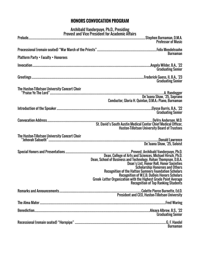## **HONORS CONVOCATION PROGRAM**

Archibald Vanderpuye, Ph.D., Presiding Provost and Vice President for Academic Affairs

|                                            | <b>Professor of Music</b>                                                                                                                                                                                                                                                                                                                                                                                                                                                                                             |
|--------------------------------------------|-----------------------------------------------------------------------------------------------------------------------------------------------------------------------------------------------------------------------------------------------------------------------------------------------------------------------------------------------------------------------------------------------------------------------------------------------------------------------------------------------------------------------|
|                                            |                                                                                                                                                                                                                                                                                                                                                                                                                                                                                                                       |
| <b>Platform Party • Faculty • Honorees</b> | <b>Burnaman</b>                                                                                                                                                                                                                                                                                                                                                                                                                                                                                                       |
|                                            | <b>Graduating Senior</b>                                                                                                                                                                                                                                                                                                                                                                                                                                                                                              |
|                                            | <b>Graduating Senior</b>                                                                                                                                                                                                                                                                                                                                                                                                                                                                                              |
|                                            |                                                                                                                                                                                                                                                                                                                                                                                                                                                                                                                       |
|                                            | Conductor, Gloria H. Quinlan, D.M.A.; Piano, Burnaman                                                                                                                                                                                                                                                                                                                                                                                                                                                                 |
|                                            | <b>Graduating Senior</b>                                                                                                                                                                                                                                                                                                                                                                                                                                                                                              |
|                                            | <b>Huston-Tillotson University Board of Trustees</b>                                                                                                                                                                                                                                                                                                                                                                                                                                                                  |
|                                            | De'Juana Shaw, '25, Soloist                                                                                                                                                                                                                                                                                                                                                                                                                                                                                           |
|                                            | Dean, College of Arts and Sciences, Michael Hirsch, Ph.D.<br>Dean, School of Business and Technology, Rohan Thompson, D.B.A.<br>Dean, School of Business and Technology, Rohan Thompson, D.B.A.<br>Dean's List, Honor Roll, Honor Societies<br><b>Scholarship Honorees and Others</b><br><b>Recognition of the Hatton Sumners Foundation Scholars</b><br>Recognition of W.E.B. DuBois Honors Scholars<br>Greek-Letter Organization with the Highest Grade Point Average<br><b>Recognition of Top Ranking Students</b> |
|                                            |                                                                                                                                                                                                                                                                                                                                                                                                                                                                                                                       |
|                                            |                                                                                                                                                                                                                                                                                                                                                                                                                                                                                                                       |
|                                            | <b>Graduating Senior</b>                                                                                                                                                                                                                                                                                                                                                                                                                                                                                              |
|                                            | <b>Burnaman</b>                                                                                                                                                                                                                                                                                                                                                                                                                                                                                                       |